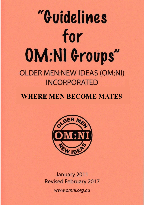# "Guidelines for OM:NI Groups" **OLDER MEN:NEW IDEAS (OM:NI) INCORPORATED**

# **WHERE MEN BECOME MATES**



January 2011 **Revised February 2017** www.omni.org.au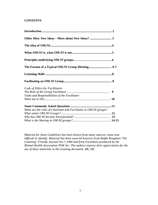# **CONTENTS**

| Code of Ethics for Facilitators<br>Tasks and Responsibilities of the Facilitator |  |
|----------------------------------------------------------------------------------|--|
| What are the roles of Chairman and Facilitator in OM:NI groups?                  |  |
|                                                                                  |  |

*Material for these Guidelines has been drawn from many sources, some now difficult to identify. Material has been sourced however from Ralph Roughton "On Listening" Friends Journal Oct 1 1984 and from Factsheets produced by the Mental Health Association NSW Inc. The authors express their appreciation for the use of these materials in this training document. RK, HS.*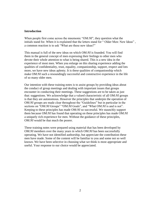#### **Introduction**

When people first come across the mnemonic "OM:*NI*", they question what the initials stand for. When it is explained that the letters stand for "Older Men: New Ideas", a common reaction is to ask "What are these new ideas?"

This manual is full of the new ideas on which OM:*NI* is founded. You will find them in the general concept of men expressing their feelings to other men who devote their whole attention to what is being shared. This is a new idea in the experience of most men. When you enlarge on this sharing experience adding the qualities of confidentiality, trust, equality, companionship, support, respect and lots more, we have new ideas aplenty. It is these qualities of companionship which make OM:*NI* such a resoundingly successful and constructive experience in the life of so many older men.

Our intention with these training notes is to assist groups by providing ideas about the conduct of group meetings and dealing with important issues that groups encounter in conducting their meetings. These suggestions are to be taken as just that: suggestions. We acknowledge that a valued characteristic of all OM:*NI* groups is that they are autonomous. However the principles that underpin the operation of OM:*NI* groups are made clear throughout the "Guidelines" but in particular in the sections on "OM:*NI* Groups" "OM:*NI* Goals", and "What OM:*NI* is and is not". Keeping to these principles has made OM:*NI* so successful. We staunchly support them because OM:*NI* has found that operating on these principles has made OM:*NI* a uniquely rich experience for men. Without the guidance of these principles, OM:*NI* would be that much the poorer.

These training notes were prepared using material that has been developed by OM:*NI* members over the many years in which OM:*NI* has been successfully operating. We have not identified authorship, but appreciate the contribution these men have made. Some of the content will be familiar to you and some not so well known. We have been selective in choosing what we think is most appropriate and useful. Your response to our choice would be appreciated.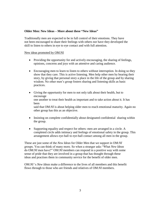## **Older Men: New Ideas – More about these "New Ideas"**

Traditionally men are expected to be in full control of their emotions. They have not been encouraged to share their feelings with others nor have they developed the skill to listen to others in eye to eye contact and with full attention.

#### New ideas promoted by OM:NI

- Providing the opportunity for and actively encouraging, the sharing of feelings, opinions, concerns and joys with an attentive and caring audience.
- Encouraging men to learn to listen to others without interruption. In doing so they show that they care. This is active listening. Men help other men by hearing their story, by giving that personal story a place in the life of the group and by sharing wisdom. No other men's group fosters sharing and listening skills as basic practices.
- Giving the opportunity for men to not only talk about their health, but to encourage one another to treat their health as important and to take action about it. It has been said that OM:*NI* is about helping older men to reach emotional maturity. Again no other group has this as an objective.
- Insisting on complete confidentially about designated confidential sharing within the group.
- Supporting equality and respect for others: men are arranged in a circle. A completed circle adds intimacy and feelings of emotional safety in the group. This arrangement allows eye-ball to eye-ball contact among all men in the group.

These are just some of the *New Ideas* for Older Men that we support in OM:*NI* groups. You can think of many more. So when a stranger asks "What *New Ideas*  do OM:*NI* men have?" OM:*NI* members can respond in a positive way with some sense of pride that they are involved in a group that has thought through these ideas and practises them in community service for the benefit of older men.

OM:*NI* 's *New Ideas* make a difference to the lives of all members and this benefit flows through to those who are friends and relatives of OM:*NI* members.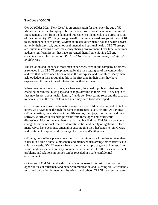#### **The Idea of OM***:NI*

OM:*NI* (Older Men : New Ideas) is an organisation for men over the age of 50. Members include self-employed businessmen, professional men, men from middle Management , men from the land and tradesmen so membership is a cross section of the community. Working through small community-based groups with about 10 to 15 members in each group, OM:*NI* addresses older men's holistic health needs: not only their physical, but emotional, mental and spiritual health. OM:*NI* groups are unique in creating a safe, male-only sharing environment. Over time, older men address significant issues that have prevented them from enjoying full and enriching lives. The mission of OM:*NI* is "*To enhance the wellbeing and lifestyle of older men*".

The isolation and loneliness most men experience, even in the company of others, is relieved in an OM:*NI* group meeting by the men letting go of the competition and fear that is developed from years in the workplace and its culture. Many men acknowledge in their group that this is the first time in their lives they have experienced this new type of relationship with other men.

When men leave the work force, are bereaved, face health problems that are life changing or relocate, huge gaps and changes develop in their lives. They begin to face new issues, about health, family, friends etc. New caring roles and the capacity to be resilient in the face of loss and grief may need to be developed.

Often, retirement causes a dramatic change in a man's life and being able to talk to others who have gone through the same experiences is very helpful. At a typical OM:*NI* meeting, men talk about their life stories, their joys, their hopes and their sorrows. Worthwhile friendships result from these open and confidential discussions. Most of the members are married but find that OM:*NI* is a welcome change from the normal round of domestic duties and family obligations. In fact many wives have been instrumental in encouraging their husbands to join OM:*NI* and continue to support and encourage their husband's attendance.

OM:*NI* groups offer a place where men discuss things on a little deeper level than is usual in a club or hotel atmosphere and members also arrange other activities to suit their needs. OM:*NI* men are free to discuss any topic of general interest. Life stories and experiences are very popular. Personal issues, health issues, retirement problems and relationship issues can be revealed in a safe, confidential environment.

Outcomes of OM:*NI* membership include an increased interest in the positive opportunities of retirement and better communication and listening skills frequently remarked on by family members, by friends and others. OM:*NI* men feel a clearer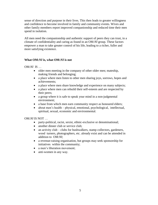sense of direction and purpose in their lives. This then leads to greater willingness and confidence to become involved in family and community events. Wives and other family members report improved companionship and reduced time their men spend in isolation.

All men need the companionship and authentic support of peers they can trust, in a climate of confidentiality and caring as found in an OM:*NI* group. These factors empower a man to take greater control of his life, leading to a richer, fuller and more satisfying existence.

# **What OM:***NI* **is, what OM:***NI* **is not**

OM:*NI* IS …

- older men meeting in the company of other older men; mateship, making friends and belonging;
- a place where men listen to other men sharing joys, sorrows, hopes and achievements;
- a place where men share knowledge and experience on many subjects;
- a place where men can rebuild their self-esteem and are respected by their peers;
- a group where it is safe to speak your mind in a non-judgmental environment;
- a base from which men earn community respect as honoured elders;
- about men's health physical, emotional, psychological, intellectual, spiritual, sexual, economic and environmental.

OM:*NI* IS NOT …

- party-political, racist, sexist, ethnic-exclusive or denominational;
- another dinner club or service club:
- an activity club clubs for bushwalkers, stamp collectors, gardeners, wood turners, photographers, etc. already exist and can be attended in addition to OM:*NI*;
- a revenue-raising organisation, but groups may seek sponsorship for initiatives within the community;
- a men's liberation movement;
- anti-women in any way.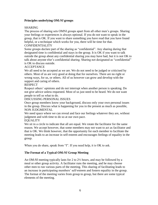# **Principles underlying OM***:NI* **groups**

# SHARING

The process of sharing sets OMNI groups apart from all other men's groups. Sharing your feelings or experiences is always optional. If you do not want to speak in the group, that is OK. If you want to share something you have read that you have found helpful, or a technique which works for you, there will be time for that.

# CONFIDENTIALITY

Some groups declare part of the sharing as "confidential". Any sharing during that designated time is confidential and stays in the group. It is OK if you want to talk outside the group about any confidential sharing you may have had, but it is not OK to talk about anyone else's confidential sharing. Sharing not designated as "confidential" is OK to discuss outside.

# **ACCEPTANCE**

We all need to be accepted as we are. We do not need to be judged or criticised by others. Most of us are very good at doing that for ourselves. There are no right or wrong ways, for us, or others. All of us however can grow and develop with the support and caring of others.

# RESPECT

Respect others' opinions and do not interrupt when another person is speaking. Do not give advice unless requested. Most of us just need to be heard. We do not want people to tell us what to do.

# DISCUSSING PERSONAL ISSUES

Once group members know your background, discuss only your own personal issues in the group. Discuss what is happening for you in the present as much as possible, NON JUDGMENTAL

We need space where we can reveal and face our feelings whatever they are, without judgment and with time to do so at our own pace.

#### EQUALITY

We sit in a circle to indicate that all are equal. We rotate the facilitator for the same reason. We accept however, that some members may not want to act as facilitator and that is OK. We think however, that the opportunity for each member to facilitate the meeting leads to an increase in self-esteem and encourages feelings of equality in the group.

When you do share, speak from "I". If you need help, it is OK to ask.

# **The Format of a Typical OM***:NI* **Group Meeting**

An OM:*NI* meeting typically lasts for 2 to 2½ hours, and may be followed by a meal or other group activity. A facilitator runs the meeting, and he may choose other men to run various parts of the meeting. This sharing of facilitating leads to an increase in participating members' self-esteem and fosters equality in the group. The format of the meeting varies from group to group, but there are some typical elements of the meeting.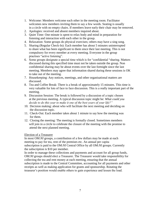- 1. Welcome: Members welcome each other in the meeting room. Facilitator welcomes new members inviting them to say a few words. Seating is usually in a circle with no empty chairs. If members leave early their chair may be removed.
- 2. Apologies: received and absent members inquired about.
- 3. Quiet Time: One minute is spent to relax body and mind in preparation for listening and interaction with each other in the group.
- 4. Relaxation: Some groups do physical exercises; others may have a sing song.
- 5. Sharing (Regular Check-In): Each member has about 5 minutes uninterrupted to share what has been significant to them since their last meeting. This is not compulsory for every member at every meeting. Everyone in the group practises "active listening".
- 6. Some groups designate a special time which is for "confidential "sharing. Matters discussed during this specified time must not be taken outside the group. Non confidential sharing may be about events over the last fortnight since the last meeting. Members may agree that information shared during these sessions is OK to take out of the meeting.
- 7. Housekeeping: Any notices, meetings, and other organisational matters are discussed.
- 8. Tea and Coffee Break: There is a break of approximately 15 minutes. This time is very valuable for lots of face to face discussion. This is a really important part of the meeting.
- 9. Discussion Session: The break is followed by a discussion of a topic chosen at the previous meeting. A typical discussion topic might be: *What could you decide to do this year to make it one of the best years of your life?"*
- 10. Decision making: about who will facilitate the next meeting and deciding on the discussion topic.
- 11. Check-Out: Each member takes about 1 minute to say how the meeting was for them.
- 12. Closing the meeting: The meeting is formally closed. Sometimes members will join in a circle to celebrate the closure of the meeting with the promise to attend the next planned meeting.

# Election of a Treasurer

In most OM:*NI* groups, a contribution of a few dollars may be made at each meeting to pay for tea, rent of the premises etc. An annual per capita subscription is paid to the OM:*NI* Central Office by all OM:*NI* groups. Currently the subscription is \$10 per member.

In order to manage these collections and payments and account for all group funds, OM:*NI* groups should elect a Treasurer. The Treasurer would take responsibility for collecting the tea and rent money at each meeting, ensuring that the annual subscription is made to the Central Committee, accounting for all payments and other receipts as well as making application for grants and sponsorship. Rotating the treasurer's position would enable others to gain experience and lessen the load.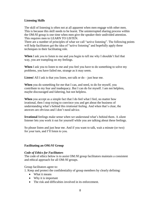# **Listening Skills**

The skill of listening is often not at all apparent when men engage with other men. This is because this skill needs to be learnt. The uninterrupted sharing process within the OM:*NI* group is one time when men give the speaker their undivided attention. This requires men to LEARN TO LISTEN.

There are a number of principles of what we call "active listening". The following points will help facilitators get the idea of "active listening" and hopefully apply these techniques in their facilitating role.

**When** I ask you to listen to me and you begin to tell me why I shouldn't feel that way, you are trampling on my feelings.

**When** I ask you to listen to me and you feel you have to do something to solve my problems, you have failed me, strange as it may seem.

**Listen!** All I ask is that you listen, not talk or do – just hear me.

**When** you do something for me that I can, and need, to do for myself, you contribute to my fear and inadequacy. But I can do for myself. I am not helpless, maybe discouraged and faltering, but not helpless.

**When** you accept as a simple fact that I do feel what I feel, no matter how irrational, then I stop trying to convince you and get about the business of understanding what's behind this irrational feeling. And when that's clear, the answers are obvious and I don't need advice.

**Irrational** feelings make sense when we understand what's behind them. A silent listener lets you work it out for yourself while you are talking about these feelings.

So please listen and just hear me. And if you want to talk, wait a minute (or two) for your turn, and I'll listen to you.

# **Facilitating an OM***:NI* **Group**

#### *Code of Ethics for Facilitators*

The code of ethics below is to assist OM*:NI* group facilitators maintain a consistent and ethical approach for all OM*:NI* groups.

Group facilitators agree to:

1. Keep and protect the confidentiality of group members by clearly defining:

- What it means
- Why it is important
- The risk and difficulties involved in its enforcement.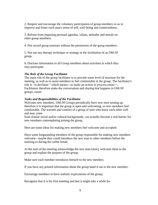2. Respect and encourage the voluntary participation of group members so as to improve and foster each man's sense of self, well-being and connectedness.

3. Refrain from imposing personal agendas, values, attitudes and morals on other group members.

4. Not record group sessions without the permission of the group members.

5. Not use any therapy technique or strategy in the facilitation of an OM*:NI* group.

6. Disclose information to all Group members about activities in which they may participate.

#### *The Role of the Group Facilitator*

The main role of the group facilitator is to provide some level of structure for the meeting, as well as to assist members to feel comfortable in the group. The facilitator's role is *–to facilitate "* which means*---to make an action or process easier---.*  Facilitators therefore make the conversation and sharing that happens in OM*:NI*  groups, easier.

#### *Tasks and Responsibilities of the Facilitator*

Welcome new members. OM*:NI* Groups periodically have new men turning up, therefore it is important that the group is open and welcoming, so new members feel comfortable. The warmth and comfort of a group of men who know each other well and may come

from similar social and/or cultural backgrounds, can actually become a real barrier for new members contemplating joining the group.

Here are some ideas for making new members feel welcome and accepted:

Have some longstanding members of the group responsible for making new members welcome - maybe they could introduce the new man to other members before the meeting or during the coffee break;

At the start of the meeting acknowledge the new man (men), welcome them to the group and explain the purpose of the group;

Make sure each member introduces himself to the new member;

If you have any printed information about the group hand it out to the new member;

Encourage members to have realistic expectations of the group;

Recognise that it is his first meeting and that it might take a while for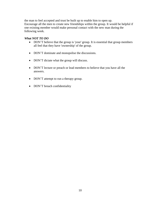the man to feel accepted and trust be built up to enable him to open up. Encourage all the men to create new friendships within the group. It would be helpful if one existing member would make personal contact with the new man during the following week.

#### *What NOT TO DO*

- DON'T believe that the group is 'your' group. It is essential that group members all feel that they have 'ownership' of the group.
- DON'T dominate and monopolise the discussions.
- DON'T dictate what the group will discuss.
- DON'T lecture or preach or lead members to believe that you have all the answers.
- DON'T attempt to run a therapy group.
- DON'T breach confidentiality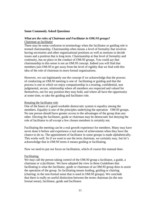#### **Some Commonly Asked Questions**

#### *What are the roles of Chairman and Facilitator in* **OM***:NI groups?* Chairman as facilitator

There may be some confusion in terminology when the facilitator or guiding role is termed chairmanship. Chairmanship often means a level of formality that involves having secretaries and other organizational positions as well as motions to decide issues and a position that is long term. Chairmanship at that level of formality and continuity, has no place in the conduct of OM:*NI* groups. You could say that chairmanship in this sense is not an OM:*NI* concept. Indeed you will find that members join OM:*NI* to get away from the level of rigidity that we find with this idea of the role of chairman in more formal organizations.

However, we can legitimately use the concept if we acknowledge that the process of conducting an OM:*NI* meeting is one of facilitating or guiding and that the process is one in which we enjoy companionship in a trusting, confidential, non judgmental, secure, relationship where all members are respected and valued for themselves, not for any position they may hold, and where all have the opportunity at some time, to take the guiding and facilitator role.

#### Rotating the facilitator role

One of the bases of a good workable democratic system is equality among the members. Equality is one of the principles underlying the operation OM:*NI* groups. No one person should have greater access to the advantages of the group than any other. Electing the facilitator, guide or chairman may be democratic but denying the role of facilitator to all except a few chosen members is certainly not.

Facilitating the meeting can be a real growth experience for members. Many may have never done it before and experience a real sense of achievement when they have the chance to do so. The appointment of facilitator in some groups is made alphabetically. This works well. So if we want to use the term chairman, we certainly may, but let's acknowledge that in OM:*NI* terms it means guiding or facilitating.

Now we need to put our focus on facilitation, which of course this manual does.

#### Facilitating

We may call the person taking control of the OM:*NI* group a facilitator, a guide, a chairman *or a facilitator.* We have adopted the view in these Guidelines that facilitating is what the facilitator, guide or chairman of an OM:*NI* group does to assist the operation of the group. So facilitating means leading, guiding or chairing (chairing: in the non-formal sense that is used in OM:*NI* groups). We conclude that there is really no useful distinction between the terms chairman (in the non formal sense), facilitator, guide and facilitator.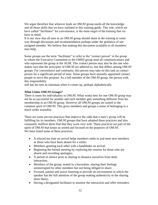We argue therefore that whoever leads an OM:*NI* group needs all the knowledge and all those skills that we have outlined in this training guide. This role, which we have called "facilitator" for convenience, is the main target of the training that we have in mind.

It is our view that all men in an OM:*NI* group should share in the training in some way through discussion and recommendation perhaps under the guidance of one assigned member. We believe that making this document available to all members may help.

Some groups use the term "facilitator" to refer to the "contact person" in the group to whom the Executive Committee or the OMNI group send all communications and who represents the group at the AGM. This contact person may also be the one who makes sure that the principles of OM:*NI* are adhered to, but that differs among OM:*NI*  groups. For convenience and continuity, this person may take on this task as contact person for a significant period of time. Some groups have annually appointed contact people to serve this purpose. As a full member of the OM:*NI* group, the person with this responsibility

still has his turn as chairman when it comes up, perhaps alphabetically.

#### *What Unites* **OM***:NI Groups?*

There is room for individuality in OM:*NI.* What works best for one OM:*NI* group may not be so successful for another and each member gets something different from his membership in an OM:*NI* group. However all OM:*NI* groups are united in the common spirit of OM:*NI*. This gives members and groups a sense of belonging to a much wider assembly.

There are some proven practices that improve the odds that a men's group will be fulfilling for its members. OM:*NI* groups that have adopted these practices and also constantly reaffirm them find that they work very well. These practices are part of the spirit of OM:*NI* that keeps us united and focused on the purposes of OM:*NI*. We have listed some of these practices:

- A relaxed tea time on arrival helps members settle in and meet new members or those who have been absent for a while;
- Members greeting each other with a handshake on arrival;
- Beginning the formal meeting by exploring the reasons for those who are absent and recording apologies;
- A period of silence prior to sharing to distance ourselves from daily interaction;
- Members of the group, seated in a horseshoe, sharing their feelings uninterrupted by other members but not being obliged to share;
- Focused, patient and active listening to provide an environment in which the speaker has the full attention of the group making authenticity in the sharing more likely;
- Having a designated facilitator to monitor the interaction and offer reminders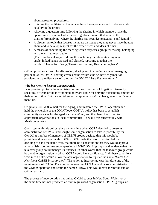about agreed on procedures;

- Rotating the facilitator so that all can have the experience and to demonstrate equality in the group;
- Allowing a question time following the sharing in which members have the opportunity to ask each other about significant issues that arose in the sharing (probably not where the sharing has been designated as "confidential");
- A discussion topic that focuses members on issues they may never have thought about and to develop respect for the experiences and ideas of others;
- A means of concluding the meeting which expresses group fellowship, belonging and the wish to meet again. (There are lots of ways of doing this including members standing in a circle, linked hands crossed and clasped, repeating together the

words: "Thanks for Caring, Thanks for Sharing, Keep coming back").

OM:*NI* provides a forum for discussing, sharing and innovating ways of managing personal issues. OM:*NI* sharing creates paths towards the acknowledgement of problems and the discovery of solutions. In OM:*NI*, "*Men Become Mates".*

# *Why has* **OM***:NI become Incorporated?*

Incorporation protects the organising committee in respect of litigation. Generally speaking, officers of the incorporated body are liable for only the outstanding amount of their subscription. But the step taken to incorporate by OM:*NI* has greater significance than this.

Originally COTA (Council for the Aging) administered the OM:*NI* operation and held the ownership of the OM:*NI* logo. COTA's policy has been to establish community services for the aged such as OM:*NI,* and then hand them over to appropriate organisations in local communities. They did this successfully with Meals on Wheels.

Consistent with this policy, there came a time when COTA decided to cease its administration of OM:*NI* and sought some organisation to take responsibility for OM:*NI*. A number of members of OM:*NI* groups decided that this would be possible and negotiated with COTA. COTA made it a prior condition before deciding to hand the name over, that there be a constitution that they would approve, an organising committee encompassing all NSW OM:*NI* groups, and evidence that the takeover group could manage its finances. In other words that the takeover group would be a viable organisation in which COTA could have confidence. If all these conditions were met, COTA would allow the new organisation to register the name "*Older Men: New Ideas OM:NI Incorporated*". The action to incorporate was therefore one of the requirements of COTA. The alternative was that COTA would cease administration of the OM:*NI* operation and retain the name OM:*NI*. This would have meant the end of OM:*NI* as such.

The process of incorporation has united OM:*NI* groups in New South Wales yet at the same time has not produced an over regularised organisation. OM:*NI* groups are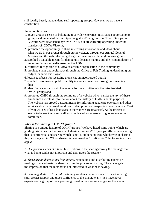still locally based, independent, self supporting groups. However we do have a constitution.

Incorporation has:

- 1. given groups a sense of belonging to a wider enterprise, facilitated support among groups and generated fellowship among all OM:*NI* groups in NSW. Groups in Victoria were established by OMNI NSW but are currently operating under the auspices of COTA Victoria;
- 2. promoted the opportunity to share interesting information and ideas about what we do in our groups through our newsletter, through our Annual General Meeting and through informal get together meetings with neighbouring groups;
- 3. supplied a valuable means for democratic decision making and the contemplation of important issues to be discussed at the AGM;
- 4. conferred recognition to OM:*NI* as a viable organisation in the community,
- 5. provided status and legitimacy through the Office of Fair Trading, underpinning our badges, banners and slogans;
- 6. legalised a basis for receiving grants (as an incorporated body);
- 7. enabled us to take out public liability insurance cover for those groups needing this;
- 8. identified a central point of reference for the activities of otherwise isolated OM:*NI* groups and
- 9. promoted OMNI through the setting up of a website which carries the text of these Guidelines as well as information about the history of OMNI and its purposes. The website has proved a useful means for informing aged care operators and other services about what we do and is a contact point for prospective new members. Most of you will see other advantages in the way we are organised. At the present it seems to be working very well with dedicated volunteers acting as an executive committee.

# *What is the Sharing in* **OM***:NI groups?*

Sharing is a unique feature of OM:*NI* groups. We have listed some points which are guiding principles for the process of sharing. Some OMNI groups differentiate sharing that is confidential and sharing which is not. Members indicate which type of sharing they are engaged in. Where sharing is designated as "confidential" the following rules apply:

*1. One person speaks at a time*. Interruptions in the sharing convey the message that what is being said is not important and denigrates the speaker.

*2. There are no distractions from others*. Note taking and distributing papers or reading circulated material detracts from the process of sharing. The sharer gets the impression that the member is not interested in what he is saying.

*3. Listening skills are fostered.* Listening validates the importance of what is being said, creates rapport and gives confidence to the sharer. Many men have never experienced a group of their peers engrossed in the sharing and giving the sharer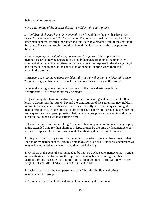their undivided attention.

*4. No questioning of the speaker during "confidential" sharing time.*

*5. Confidential sharing has to be personal.* It deals with how the member feels. We expect "I" statements not "You" statements. The more personal the sharing, the closer other members feel towards the sharer and this leads to a greater depth of the sharing in the group. The sharing session could begin with the facilitator making this point to the group.

*6. Body language is a valuable key to members' responses.* The impact of one member's sharing may be apparent in the body language of another member. Any comment about what the facilitator has noticed about the response to the sharing might be best made, one to one, at the conclusion of personal sharing when there is a break in the program.

*7. Members are reminded about confidentiality at the end of the "confidential" session*. "Remember guys, this is our personal time and our sharings stay in the group".

In general sharing where the sharer has no wish that their sharing would be "confidential" , different points may be made:

1. Questioning the sharer often diverts the process of sharing and takes time. It often leads to discussions that stretch beyond the contribution of the sharer into new fields. It interrupts the sequence of sharing. If a member is really interested in questioning, the member can note down the question in order to ask it later within or outside the meeting. Some questions may open up matters that the whole group has an interest in and those questions could be asked in discussion time.

*2.* There is a time limit for speaking. Some members may tend to dominate the group by taking extended time for their sharing. In large groups by the time the last members get a chance to speak a lot of time has passed. The sharing should be kept moving.

3. It is pretty tough to try to exclude the telling of a joke by the member as part of their sharing or by members of the group. Some jokes are hilarious. Humour is encouraged as long as it is not used as a means to avoid personal sharing.

4. Members in the general sharing need to be kept on track. Some members may wander in their sharing or in discussing the topic and this may become boring for others. The facilitator brings the sharer back to the point of their comment. THE OMNI MEETING IS QUALITY TIME. IT SHOULD NOT BE WASTED.

*5.* Each sharer names the next person to share. This aids the flow and brings members into the group.

6. All members are thanked for sharing. This is done by the facilitator.